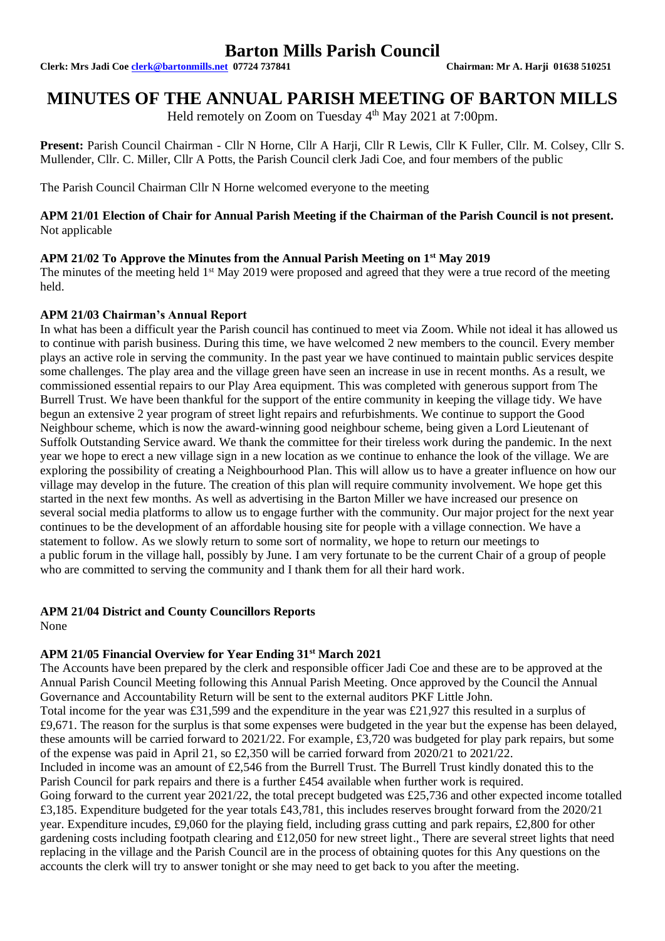# **Barton Mills Parish Council**

**Clerk: Mrs Jadi Coe [clerk@bartonmills.net](mailto:clerk@bartonmills.net) 07724 737841 Chairman: Mr A. Harji 01638 510251**

# **MINUTES OF THE ANNUAL PARISH MEETING OF BARTON MILLS**

Held remotely on Zoom on Tuesday 4<sup>th</sup> May 2021 at 7:00pm.

**Present:** Parish Council Chairman - Cllr N Horne, Cllr A Harji, Cllr R Lewis, Cllr K Fuller, Cllr. M. Colsey, Cllr S. Mullender, Cllr. C. Miller, Cllr A Potts, the Parish Council clerk Jadi Coe, and four members of the public

The Parish Council Chairman Cllr N Horne welcomed everyone to the meeting

### **APM 21/01 Election of Chair for Annual Parish Meeting if the Chairman of the Parish Council is not present.** Not applicable

## **APM 21/02 To Approve the Minutes from the Annual Parish Meeting on 1st May 2019**

The minutes of the meeting held  $1<sup>st</sup>$  May 2019 were proposed and agreed that they were a true record of the meeting held.

### **APM 21/03 Chairman's Annual Report**

In what has been a difficult year the Parish council has continued to meet via Zoom. While not ideal it has allowed us to continue with parish business. During this time, we have welcomed 2 new members to the council. Every member plays an active role in serving the community. In the past year we have continued to maintain public services despite some challenges. The play area and the village green have seen an increase in use in recent months. As a result, we commissioned essential repairs to our Play Area equipment. This was completed with generous support from The Burrell Trust. We have been thankful for the support of the entire community in keeping the village tidy. We have begun an extensive 2 year program of street light repairs and refurbishments. We continue to support the Good Neighbour scheme, which is now the award-winning good neighbour scheme, being given a Lord Lieutenant of Suffolk Outstanding Service award. We thank the committee for their tireless work during the pandemic. In the next year we hope to erect a new village sign in a new location as we continue to enhance the look of the village. We are exploring the possibility of creating a Neighbourhood Plan. This will allow us to have a greater influence on how our village may develop in the future. The creation of this plan will require community involvement. We hope get this started in the next few months. As well as advertising in the Barton Miller we have increased our presence on several social media platforms to allow us to engage further with the community. Our major project for the next year continues to be the development of an affordable housing site for people with a village connection. We have a statement to follow. As we slowly return to some sort of normality, we hope to return our meetings to a public forum in the village hall, possibly by June. I am very fortunate to be the current Chair of a group of people who are committed to serving the community and I thank them for all their hard work.

## **APM 21/04 District and County Councillors Reports**

None

## **APM 21/05 Financial Overview for Year Ending 31st March 2021**

The Accounts have been prepared by the clerk and responsible officer Jadi Coe and these are to be approved at the Annual Parish Council Meeting following this Annual Parish Meeting. Once approved by the Council the Annual Governance and Accountability Return will be sent to the external auditors PKF Little John.

Total income for the year was £31,599 and the expenditure in the year was £21,927 this resulted in a surplus of £9,671. The reason for the surplus is that some expenses were budgeted in the year but the expense has been delayed, these amounts will be carried forward to 2021/22. For example, £3,720 was budgeted for play park repairs, but some of the expense was paid in April 21, so £2,350 will be carried forward from 2020/21 to 2021/22.

Included in income was an amount of £2,546 from the Burrell Trust. The Burrell Trust kindly donated this to the Parish Council for park repairs and there is a further £454 available when further work is required.

Going forward to the current year 2021/22, the total precept budgeted was £25,736 and other expected income totalled £3,185. Expenditure budgeted for the year totals £43,781, this includes reserves brought forward from the 2020/21 year. Expenditure incudes, £9,060 for the playing field, including grass cutting and park repairs, £2,800 for other gardening costs including footpath clearing and £12,050 for new street light., There are several street lights that need replacing in the village and the Parish Council are in the process of obtaining quotes for this Any questions on the accounts the clerk will try to answer tonight or she may need to get back to you after the meeting.